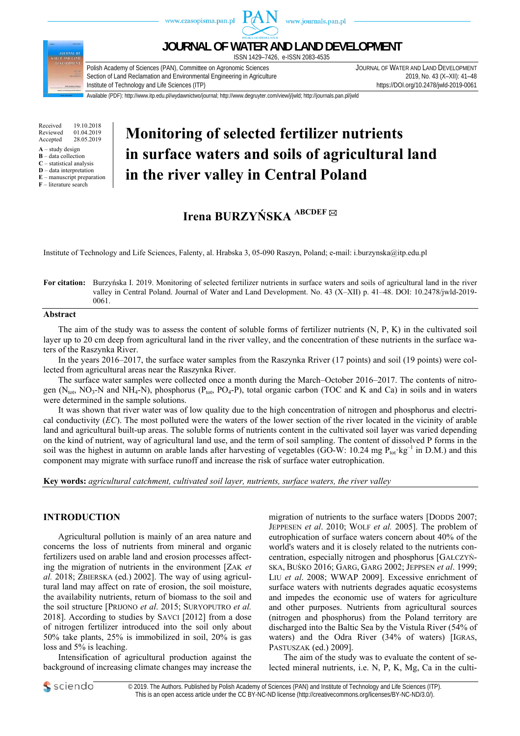

Received 19.10.2018<br>Reviewed 01.04.2019 Reviewed 01.04.2019<br>Accepted 28.05.2019 28.05.2019

 $A -$ study design

**B** – data collection **C** – statistical analysis

**D** – data interpretation

**E** – manuscript preparation

**F** – literature search

# **Monitoring of selected fertilizer nutrients in surface waters and soils of agricultural land in the river valley in Central Poland**

## **Irena BURZYŃSKA ABCDEF**

Institute of Technology and Life Sciences, Falenty, al. Hrabska 3, 05-090 Raszyn, Poland; e-mail: i.burzynska@itp.edu.pl

#### **For citation:** Burzyńska I. 2019. Monitoring of selected fertilizer nutrients in surface waters and soils of agricultural land in the river valley in Central Poland. Journal of Water and Land Development. No. 43 (X–XII) p. 41–48. DOI: 10.2478/jwld-2019- 0061.

#### **Abstract**

The aim of the study was to assess the content of soluble forms of fertilizer nutrients (N, P, K) in the cultivated soil layer up to 20 cm deep from agricultural land in the river valley, and the concentration of these nutrients in the surface waters of the Raszynka River.

In the years 2016–2017, the surface water samples from the Raszynka Rriver (17 points) and soil (19 points) were collected from agricultural areas near the Raszynka River.

The surface water samples were collected once a month during the March–October 2016–2017. The contents of nitrogen ( $N_{\text{tot}}$ , NO<sub>3</sub>-N and NH<sub>4</sub>-N), phosphorus ( $P_{\text{tot}}$ , PO<sub>4</sub>-P), total organic carbon (TOC and K and Ca) in soils and in waters were determined in the sample solutions.

It was shown that river water was of low quality due to the high concentration of nitrogen and phosphorus and electrical conductivity (*EC*). The most polluted were the waters of the lower section of the river located in the vicinity of arable land and agricultural built-up areas. The soluble forms of nutrients content in the cultivated soil layer was varied depending on the kind of nutrient, way of agricultural land use, and the term of soil sampling. The content of dissolved P forms in the soil was the highest in autumn on arable lands after harvesting of vegetables (GO-W: 10.24 mg  $P_{tot}$ · $kg^{-1}$  in D.M.) and this component may migrate with surface runoff and increase the risk of surface water eutrophication.

**Key words:** *agricultural catchment, cultivated soil layer, nutrients, surface waters, the river valley* 

### **INTRODUCTION**

Agricultural pollution is mainly of an area nature and concerns the loss of nutrients from mineral and organic fertilizers used on arable land and erosion processes affecting the migration of nutrients in the environment [ZAK *et al.* 2018; ZBIERSKA (ed.) 2002]. The way of using agricultural land may affect on rate of erosion, the soil moisture, the availability nutrients, return of biomass to the soil and the soil structure [PRIJONO *et al*. 2015; SURYOPUTRO *et al.* 2018]. According to studies by SAVCI [2012] from a dose of nitrogen fertilizer introduced into the soil only about 50% take plants, 25% is immobilized in soil, 20% is gas loss and 5% is leaching.

Intensification of agricultural production against the background of increasing climate changes may increase the migration of nutrients to the surface waters [DODDS 2007; JEPPESEN *et al*. 2010; WOLF *et al.* 2005]. The problem of eutrophication of surface waters concern about 40% of the world's waters and it is closely related to the nutrients concentration, especially nitrogen and phosphorus [GAŁCZYŃ-SKA, BUŚKO 2016; GARG, GARG 2002; JEPPSEN *et al*. 1999; LIU *et al*. 2008; WWAP 2009]. Excessive enrichment of surface waters with nutrients degrades aquatic ecosystems and impedes the economic use of waters for agriculture and other purposes. Nutrients from agricultural sources (nitrogen and phosphorus) from the Poland territory are discharged into the Baltic Sea by the Vistula River (54% of waters) and the Odra River (34% of waters) [IGRAS, PASTUSZAK (ed.) 2009].

The aim of the study was to evaluate the content of selected mineral nutrients, i.e. N, P, K, Mg, Ca in the culti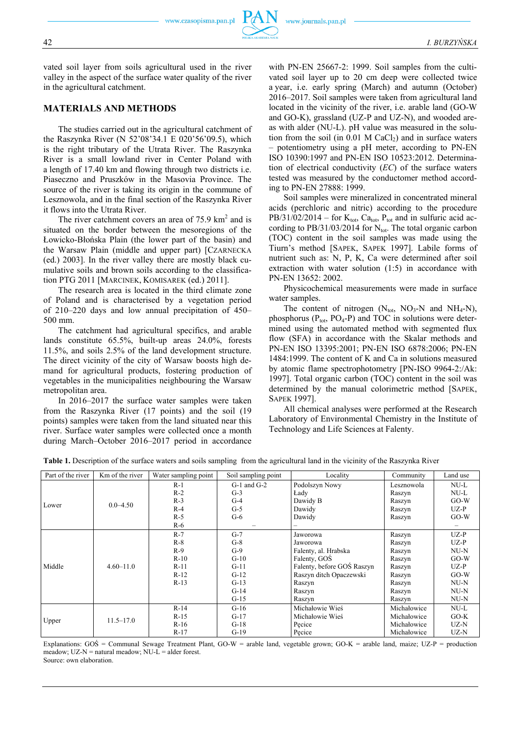vated soil layer from soils agricultural used in the river valley in the aspect of the surface water quality of the river in the agricultural catchment.

#### **MATERIALS AND METHODS**

The studies carried out in the agricultural catchment of the Raszynka River (N 52'08'34.1 E 020'56'09.5), which is the right tributary of the Utrata River. The Raszynka River is a small lowland river in Center Poland with a length of 17.40 km and flowing through two districts i.e. Piaseczno and Pruszków in the Masovia Province. The source of the river is taking its origin in the commune of Lesznowola, and in the final section of the Raszynka River it flows into the Utrata River.

The river catchment covers an area of  $75.9 \text{ km}^2$  and is situated on the border between the mesoregions of the Łowicko-Błońska Plain (the lower part of the basin) and the Warsaw Plain (middle and upper part) [CZARNECKA (ed.) 2003]. In the river valley there are mostly black cumulative soils and brown soils according to the classification PTG 2011 [MARCINEK, KOMISAREK (ed.) 2011].

The research area is located in the third climate zone of Poland and is characterised by a vegetation period of 210–220 days and low annual precipitation of 450– 500 mm.

The catchment had agricultural specifics, and arable lands constitute 65.5%, built-up areas 24.0%, forests 11.5%, and soils 2.5% of the land development structure. The direct vicinity of the city of Warsaw boosts high demand for agricultural products, fostering production of vegetables in the municipalities neighbouring the Warsaw metropolitan area.

In 2016–2017 the surface water samples were taken from the Raszynka River (17 points) and the soil (19 points) samples were taken from the land situated near this river. Surface water samples were collected once a month during March–October 2016–2017 period in accordance with PN-EN 25667-2: 1999. Soil samples from the cultivated soil layer up to 20 cm deep were collected twice a year, i.e. early spring (March) and autumn (October) 2016–2017. Soil samples were taken from agricultural land located in the vicinity of the river, i.e. arable land (GO-W and GO-K), grassland (UZ-P and UZ-N), and wooded areas with alder (NU-L). pH value was measured in the solution from the soil (in  $0.01$  M CaCl<sub>2</sub>) and in surface waters – potentiometry using a pH meter, according to PN-EN ISO 10390:1997 and PN-EN ISO 10523:2012. Determination of electrical conductivity (*EC*) of the surface waters tested was measured by the conductomer method according to PN-EN 27888: 1999.

Soil samples were mineralized in concentrated mineral acids (perchloric and nitric) according to the procedure  $PB/31/02/2014$  – for  $K_{\text{tot}}$ ,  $Ca_{\text{tot}}$ ,  $P_{\text{tot}}$  and in sulfuric acid according to  $PB/31/03/2014$  for N<sub>tot</sub>. The total organic carbon (TOC) content in the soil samples was made using the Tiurn's method [SAPEK, SAPEK 1997]. Labile forms of nutrient such as: N, P, K, Ca were determined after soil extraction with water solution (1:5) in accordance with PN-EN 13652: 2002.

Physicochemical measurements were made in surface water samples.

The content of nitrogen  $(N_{\text{tot}}$ , NO<sub>3</sub>-N and NH<sub>4</sub>-N), phosphorus ( $P_{\text{tot}}$ , PO<sub>4</sub>-P) and TOC in solutions were determined using the automated method with segmented flux flow (SFA) in accordance with the Skalar methods and PN-EN ISO 13395:2001; PN-EN ISO 6878:2006; PN-EN 1484:1999. The content of K and Ca in solutions measured by atomic flame spectrophotometry [PN-ISO 9964-2:/Ak: 1997]. Total organic carbon (TOC) content in the soil was determined by the manual colorimetric method [SAPEK, SAPEK 1997].

All chemical analyses were performed at the Research Laboratory of Environmental Chemistry in the Institute of Technology and Life Sciences at Falenty.

| Part of the river | Km of the river | Water sampling point | Soil sampling point                  | Locality             | Community   | Land use |
|-------------------|-----------------|----------------------|--------------------------------------|----------------------|-------------|----------|
| Lower             |                 | $R-1$                | $G-1$ and $G-2$                      | Podolszyn Nowy       | Lesznowola  | NU-L     |
|                   | $0.0 - 4.50$    | $R-2$                | $G-3$                                | Lady                 | Raszyn      | NU-L     |
|                   |                 | $R-3$                | $G-4$                                | Dawidy B             | Raszyn      | $GO-W$   |
|                   |                 | $R-4$                | $G-5$                                | Dawidy               |             | $UZ-P$   |
|                   |                 | $R-5$                | $G-6$                                | Dawidy               | Raszyn      | $GO-W$   |
|                   |                 | $R-6$                |                                      |                      |             |          |
| Middle            |                 | $R-7$                | $G-7$                                | Jaworowa             | Raszyn      | $UZ-P$   |
|                   | $4.60 - 11.0$   | $R-8$                | $G-8$                                | Jaworowa             | Raszyn      | $UZ-P$   |
|                   |                 | $R-9$                | $G-9$                                | Falenty, al. Hrabska | Raszyn      | $NU-N$   |
|                   |                 | $R-10$               | $G-10$                               | Falenty, GOS         | Raszyn      | $GO-W$   |
|                   |                 | $R-11$               | Falenty, before GOS Raszyn<br>$G-11$ |                      | Raszyn      | $UZ-P$   |
|                   |                 | $R-12$               | $G-12$<br>Raszyn ditch Opaczewski    |                      | Raszyn      | $GO-W$   |
|                   |                 | $R-13$               | $G-13$                               | Raszyn               | Raszyn      | $NU-N$   |
|                   |                 |                      | $G-14$                               | Raszyn               | Raszyn      | $NU-N$   |
|                   |                 |                      | $G-15$                               | Raszyn               | Raszyn      | $NU-N$   |
| Upper             | $11.5 - 17.0$   | $R-14$               | $G-16$                               | Michałowie Wieś      | Michałowice | $NU-L$   |
|                   |                 | $R-15$               | $G-17$                               | Michałowie Wieś      | Michałowice | $GO-K$   |
|                   |                 | $R-16$               | $G-18$                               | Pecice               |             | UZ-N     |
|                   |                 | $R-17$               | $G-19$                               | Pecice               | Michałowice | UZ-N     |

**Table 1.** Description of the surface waters and soils sampling from the agricultural land in the vicinity of the Raszynka River

Explanations: GOŚ = Communal Sewage Treatment Plant, GO-W = arable land, vegetable grown; GO-K = arable land, maize; UZ-P = production meadow;  $UZ-N$  = natural meadow;  $NU-L$  = alder forest. Source: own elaboration.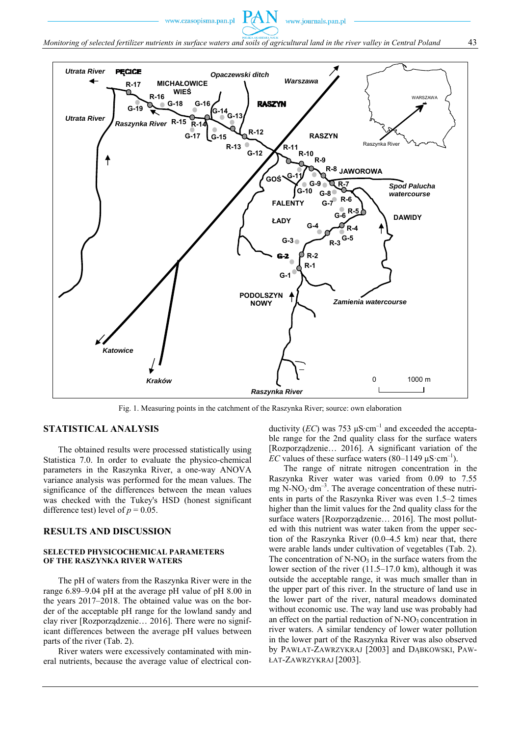www.czasopisma.pan.pl



Fig. 1. Measuring points in the catchment of the Raszynka River; source: own elaboration

#### **STATISTICAL ANALYSIS**

The obtained results were processed statistically using Statistica 7.0. In order to evaluate the physico-chemical parameters in the Raszynka River, a one-way ANOVA variance analysis was performed for the mean values. The significance of the differences between the mean values was checked with the Tukey's HSD (honest significant difference test) level of  $p = 0.05$ .

#### **RESULTS AND DISCUSSION**

#### **SELECTED PHYSICOCHEMICAL PARAMETERS OF THE RASZYNKA RIVER WATERS**

The pH of waters from the Raszynka River were in the range 6.89–9.04 pH at the average pH value of pH 8.00 in the years 2017–2018. The obtained value was on the border of the acceptable pH range for the lowland sandy and clay river [Rozporządzenie… 2016]. There were no significant differences between the average pH values between parts of the river (Tab. 2).

River waters were excessively contaminated with mineral nutrients, because the average value of electrical conductivity (*EC*) was 753 μS⋅cm<sup>-1</sup> and exceeded the acceptable range for the 2nd quality class for the surface waters [Rozporządzenie… 2016]. A significant variation of the *EC* values of these surface waters  $(80-1149 \mu S \cdot cm^{-1})$ .

The range of nitrate nitrogen concentration in the Raszynka River water was varied from 0.09 to 7.55 mg N-NO<sub>3</sub> $dm^{-3}$ . The average concentration of these nutrients in parts of the Raszynka River was even 1.5–2 times higher than the limit values for the 2nd quality class for the surface waters [Rozporządzenie… 2016]. The most polluted with this nutrient was water taken from the upper section of the Raszynka River (0.0–4.5 km) near that, there were arable lands under cultivation of vegetables (Tab. 2). The concentration of  $N-NO_3$  in the surface waters from the lower section of the river (11.5–17.0 km), although it was outside the acceptable range, it was much smaller than in the upper part of this river. In the structure of land use in the lower part of the river, natural meadows dominated without economic use. The way land use was probably had an effect on the partial reduction of  $N-NO<sub>3</sub>$  concentration in river waters. A similar tendency of lower water pollution in the lower part of the Raszynka River was also observed by PAWŁAT-ZAWRZYKRAJ [2003] and DĄBKOWSKI, PAW-ŁAT-ZAWRZYKRAJ [2003].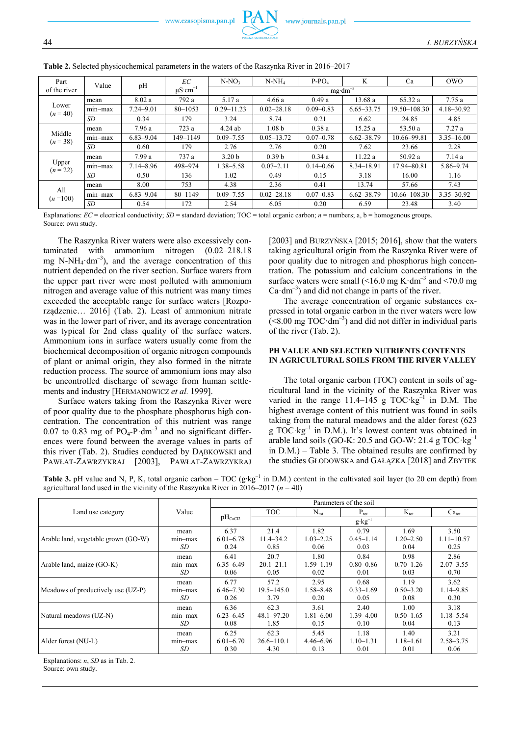| Part                | Value      | pH            | EC<br>$\mu$ S·cm <sup>-1</sup> | $N-NO3$            | $N-NH_4$          | $P-PO4$       | K              | Ca               | <b>OWO</b>     |
|---------------------|------------|---------------|--------------------------------|--------------------|-------------------|---------------|----------------|------------------|----------------|
| of the river        |            |               |                                | $mg \cdot dm^{-3}$ |                   |               |                |                  |                |
| Lower<br>$(n = 40)$ | mean       | 8.02a         | 792 a                          | 5.17 a             | 4.66a             | 0.49a         | 13.68 a        | 65.32 a          | 7.75a          |
|                     | $mn - max$ | $7.24 - 9.01$ | $80 - 1053$                    | $0.29 - 11.23$     | $0.02 - 28.18$    | $0.09 - 0.83$ | $6.65 - 33.75$ | 19.50–108.30     | 4.18-30.92     |
|                     | <b>SD</b>  | 0.34          | 179                            | 3.24               | 8.74              | 0.21          | 6.62           | 24.85            | 4.85           |
| Middle<br>$(n=38)$  | mean       | 7.96 a        | 723 a                          | $4.24$ ab          | 1.08 <sub>b</sub> | 0.38a         | 15.25a         | 53.50 a          | 7.27a          |
|                     | $mn - max$ | $6.83 - 9.04$ | 149-1149                       | $0.09 - 7.55$      | $0.05 - 13.72$    | $0.07 - 0.78$ | $6.62 - 38.79$ | 10.66–99.81      | $3.35 - 16.00$ |
|                     | <b>SD</b>  | 0.60          | 179                            | 2.76               | 2.76              | 0.20          | 7.62           | 23.66            | 2.28           |
| Upper<br>$(n = 22)$ | mean       | 7.99 a        | 737 a                          | 3.20 <sub>b</sub>  | 0.39 <sub>b</sub> | 0.34a         | 11.22 a        | 50.92 a          | 7.14a          |
|                     | $mn - max$ | $7.14 - 8.96$ | 498-974                        | 1.38–5.58          | $0.07 - 2.11$     | $0.14 - 0.66$ | 8.34-18.91     | 17.94-80.81      | $5.86 - 9.74$  |
|                     | <b>SD</b>  | 0.50          | 136                            | 1.02               | 0.49              | 0.15          | 3.18           | 16.00            | 1.16           |
| All<br>$(n=100)$    | mean       | 8.00          | 753                            | 4.38               | 2.36              | 0.41          | 13.74          | 57.66            | 7.43           |
|                     | $min-max$  | $6.83 - 9.04$ | 80-1149                        | $0.09 - 7.55$      | $0.02 - 28.18$    | $0.07 - 0.83$ | $6.62 - 38.79$ | $10.66 - 108.30$ | $3.35 - 30.92$ |
|                     | SD         | 0.54          | 172                            | 2.54               | 6.05              | 0.20          | 6.59           | 23.48            | 3.40           |

**Table 2.** Selected physicochemical parameters in the waters of the Raszynka River in 2016–2017

Explanations: *EC* = electrical conductivity; *SD* = standard deviation; TOC = total organic carbon; *n* = numbers; a, b = homogenous groups. Source: own study.

The Raszynka River waters were also excessively contaminated with ammonium nitrogen (0.02–218.18 mg N-NH<sub>4</sub> $dm^{-3}$ ), and the average concentration of this nutrient depended on the river section. Surface waters from the upper part river were most polluted with ammonium nitrogen and average value of this nutrient was many times exceeded the acceptable range for surface waters [Rozporządzenie… 2016] (Tab. 2). Least of ammonium nitrate was in the lower part of river, and its average concentration was typical for 2nd class quality of the surface waters. Ammonium ions in surface waters usually come from the biochemical decomposition of organic nitrogen compounds of plant or animal origin, they also formed in the nitrate reduction process. The source of ammonium ions may also be uncontrolled discharge of sewage from human settlements and industry [HERMANOWICZ *et al.* 1999].

Surface waters taking from the Raszynka River were of poor quality due to the phosphate phosphorus high concentration. The concentration of this nutrient was range 0.07 to 0.83 mg of  $PO_4$ -P $\cdot$ dm<sup>-3</sup> and no significant differences were found between the average values in parts of this river (Tab. 2). Studies conducted by DĄBKOWSKI and PAWŁAT-ZAWRZYKRAJ [2003], PAWŁAT-ZAWRZYKRAJ

[2003] and BURZYŃSKA [2015; 2016], show that the waters taking agricultural origin from the Raszynka River were of poor quality due to nitrogen and phosphorus high concentration. The potassium and calcium concentrations in the surface waters were small  $(<16.0$  mg K $\cdot$ dm<sup>-3</sup> and  $<70.0$  mg  $Ca·dm^{-3}$ ) and did not change in parts of the river.

The average concentration of organic substances expressed in total organic carbon in the river waters were low  $(< 8.00$  mg TOC $\cdot$ dm<sup>-3</sup>) and did not differ in individual parts of the river (Tab. 2).

#### **PH VALUE AND SELECTED NUTRIENTS CONTENTS IN AGRICULTURAL SOILS FROM THE RIVER VALLEY**

The total organic carbon (TOC) content in soils of agricultural land in the vicinity of the Raszynka River was varied in the range  $11.4-145$  g TOC $kg^{-1}$  in D.M. The highest average content of this nutrient was found in soils taking from the natural meadows and the alder forest (623 g TOC $\text{kg}^{-1}$  in D.M.). It's lowest content was obtained in arable land soils (GO-K: 20.5 and GO-W: 21.4 g  $TOC·kg^{-1}$ in D.M.) – Table 3. The obtained results are confirmed by the studies GŁODOWSKA and GAŁĄZKA [2018] and ZBYTEK

**Table 3.** pH value and N, P, K, total organic carbon – TOC (g∙kg–1 in D.M.) content in the cultivated soil layer (to 20 cm depth) from agricultural land used in the vicinity of the Raszynka River in 2016–2017 (*n* = 40)

|                                     | Value      | Parameters of the soil |                 |                  |                  |                  |                   |  |
|-------------------------------------|------------|------------------------|-----------------|------------------|------------------|------------------|-------------------|--|
| Land use category                   |            | $pH_{CaCl2}$           | TOC             | $N_{\text{tot}}$ | $P_{\text{tot}}$ | $K_{\text{tot}}$ | Ca <sub>tot</sub> |  |
|                                     |            |                        | $g$ · $kg^{-1}$ |                  |                  |                  |                   |  |
|                                     | mean       | 6.37                   | 21.4            | 1.82             | 0.79             | 1.69             | 3.50              |  |
| Arable land, vegetable grown (GO-W) | $mn - max$ | $6.01 - 6.78$          | $11.4 - 34.2$   | $1.03 - 2.25$    | $0.45 - 1.14$    | $1.20 - 2.50$    | $1.11 - 10.57$    |  |
|                                     | SD         | 0.24                   | 0.85            | 0.06             | 0.03             | 0.04             | 0.25              |  |
|                                     | mean       | 6.41                   | 20.7            | 1.80             | 0.84             | 0.98             | 2.86              |  |
| Arable land, maize (GO-K)           | $mn - max$ | $6.35 - 6.49$          | $20.1 - 21.1$   | $1.59 - 1.19$    | $0.80 - 0.86$    | $0.70 - 1.26$    | $2.07 - 3.55$     |  |
|                                     | SD         | 0.06                   | 0.05            | 0.02             | 0.01             | 0.03             | 0.70              |  |
|                                     | mean       | 6.77                   | 57.2            | 2.95             | 0.68             | 1.19             | 3.62              |  |
| Meadows of productively use (UZ-P)  | $min-max$  | $6.46 - 7.30$          | $19.5 - 145.0$  | $1.58 - 8.48$    | $0.33 - 1.69$    | $0.50 - 3.20$    | $1.14 - 9.85$     |  |
|                                     | SD         | 0.26                   | 3.79            | 0.20             | 0.05             | 0.08             | 0.30              |  |
|                                     | mean       | 6.36                   | 62.3            | 3.61             | 2.40             | 1.00             | 3.18              |  |
| Natural meadows (UZ-N)              | $min-max$  | $6.23 - 6.45$          | $48.1 - 97.20$  | $1.81 - 6.00$    | 1.39 - 4.00      | $0.50 - 1.65$    | $1.18 - 5.54$     |  |
|                                     | SD         | 0.08                   | 1.85            | 0.15             | 0.10             | 0.04             | 0.13              |  |
|                                     | mean       | 6.25                   | 62.3            | 5.45             | 1.18             | 1.40             | 3.21              |  |
| Alder forest (NU-L)                 | $min-max$  | $6.01 - 6.70$          | $26.6 - 110.1$  | $4.46 - 6.96$    | $1.10 - 1.31$    | $1.18 - 1.61$    | $2.58 - 3.75$     |  |
|                                     | SD         | 0.30                   | 4.30            | 0.13             | 0.01             | 0.01             | 0.06              |  |

Explanations: *n*, *SD* as in Tab. 2.

Source: own study.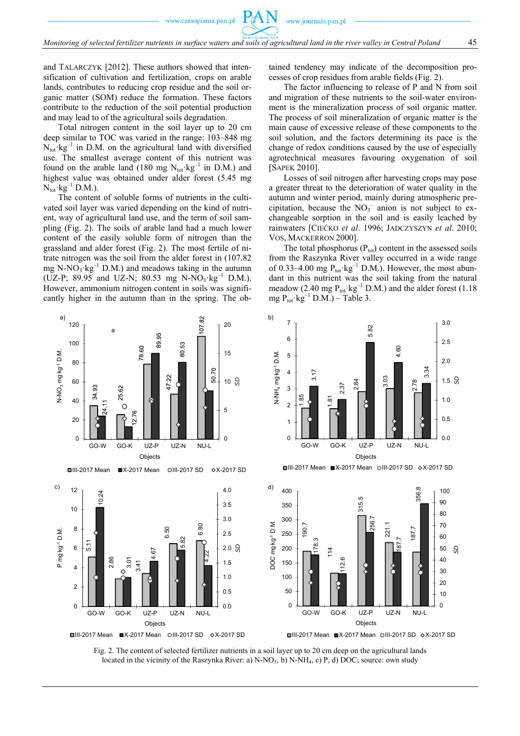www.czasopisma.pan.pl

and TALARCZYK [2012]. These authors showed that intensification of cultivation and fertilization, crops on arable lands, contributes to reducing crop residue and the soil organic matter (SOM) reduce the formation. These factors contribute to the reduction of the soil potential production and may lead to of the agricultural soils degradation.

Total nitrogen content in the soil layer up to 20 cm deep similar to TOC was varied in the range: 103–848 mg  $N_{\text{tot}}$   $kg^{-1}$  in D.M. on the agricultural land with diversified use. The smallest average content of this nutrient was found on the arable land (180 mg  $N_{\text{tot}}$ ·kg<sup>-1</sup> in D.M.) and highest value was obtained under alder forest (5.45 mg  $N_{\text{tot}}$  $kg^{-1}$  D.M.).

The content of soluble forms of nutrients in the cultivated soil layer was varied depending on the kind of nutrient, way of agricultural land use, and the term of soil sampling (Fig. 2). The soils of arable land had a much lower content of the easily soluble form of nitrogen than the grassland and alder forest (Fig. 2). The most fertile of nitrate nitrogen was the soil from the alder forest in (107.82 mg N-NO<sub>3</sub> $kg^{-1}$  D.M.) and meadows taking in the autumn (UZ-P; 89.95 and UZ-N; 80.53 mg N-NO<sub>3</sub>·kg<sup>-1</sup> D.M.). However, ammonium nitrogen content in soils was significantly higher in the autumn than in the spring. The obtained tendency may indicate of the decomposition processes of crop residues from arable fields (Fig. 2).

The factor influencing to release of P and N from soil and migration of these nutrients to the soil-water environment is the mineralization process of soil organic matter. The process of soil mineralization of organic matter is the main cause of excessive release of these components to the soil solution, and the factors determining its pace is the change of redox conditions caused by the use of especially agrotechnical measures favouring oxygenation of soil [SAPEK 2010].

Losses of soil nitrogen after harvesting crops may pose a greater threat to the deterioration of water quality in the autumn and winter period, mainly during atmospheric precipitation, because the  $NO<sub>3</sub><sup>-</sup>$  anion is not subject to exchangeable sorption in the soil and is easily leached by rainwaters [CIEĆKO *et al*. 1996; JADCZYSZYN *et al*. 2010; VOS, MACKERRON 2000].

The total phosphorus  $(P_{\text{tot}})$  content in the assessed soils from the Raszynka River valley occurred in a wide range of 0.33–4.00 mg  $P_{\text{tot}}$  kg<sup>-1</sup> D.M.). However, the most abundant in this nutrient was the soil taking from the natural meadow (2.40 mg  $P_{\text{tot}}$ · $kg^{-1}$  D.M.) and the alder forest (1.18 mg  $P_{\text{tot}}$ · kg<sup>-1</sup> D.M.) – Table 3.



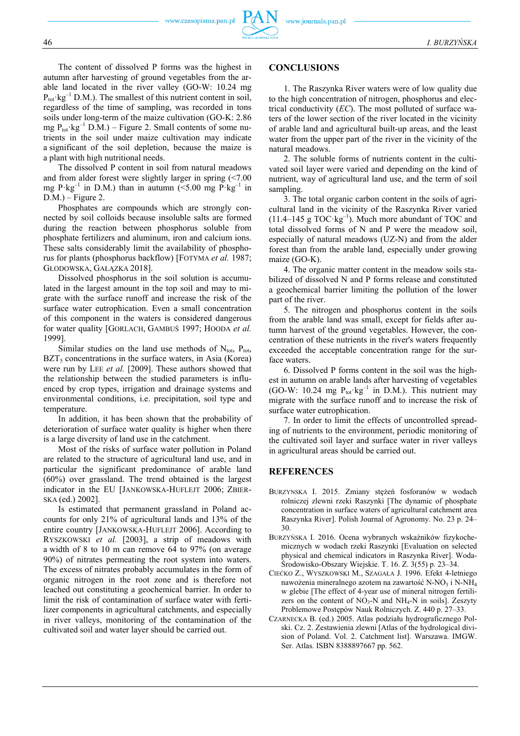The content of dissolved P forms was the highest in autumn after harvesting of ground vegetables from the arable land located in the river valley (GO-W: 10.24 mg  $P_{\text{tot}}$  kg<sup>-1</sup> D.M.). The smallest of this nutrient content in soil, regardless of the time of sampling, was recorded in tons soils under long-term of the maize cultivation (GO-K: 2.86 mg  $P_{\text{tot}}$ ·kg<sup>-1</sup> D.M.) – Figure 2. Small contents of some nutrients in the soil under maize cultivation may indicate a significant of the soil depletion, because the maize is a plant with high nutritional needs.

The dissolved P content in soil from natural meadows and from alder forest were slightly larger in spring (<7.00 mg  $P$ ·kg<sup>-1</sup> in D.M.) than in autumn (<5.00 mg  $P$ ·kg<sup>-1</sup> in  $D.M.$ ) – Figure 2.

Phosphates are compounds which are strongly connected by soil colloids because insoluble salts are formed during the reaction between phosphorus soluble from phosphate fertilizers and aluminum, iron and calcium ions. These salts considerably limit the availability of phosphorus for plants (phosphorus backflow) [FOTYMA *et al.* 1987; GŁODOWSKA, GAŁĄZKA 2018].

Dissolved phosphorus in the soil solution is accumulated in the largest amount in the top soil and may to migrate with the surface runoff and increase the risk of the surface water eutrophication. Even a small concentration of this component in the waters is considered dangerous for water quality [GORLACH, GAMBUŚ 1997; HOODA *et al.* 1999].

Similar studies on the land use methods of  $N_{\text{tot}}$ ,  $P_{\text{tot}}$ ,  $BZT<sub>5</sub>$  concentrations in the surface waters, in Asia (Korea) were run by LEE *et al.* [2009]. These authors showed that the relationship between the studied parameters is influenced by crop types, irrigation and drainage systems and environmental conditions, i.e. precipitation, soil type and temperature.

In addition, it has been shown that the probability of deterioration of surface water quality is higher when there is a large diversity of land use in the catchment.

Most of the risks of surface water pollution in Poland are related to the structure of agricultural land use, and in particular the significant predominance of arable land (60%) over grassland. The trend obtained is the largest indicator in the EU [JANKOWSKA-HUFLEJT 2006; ZBIER-SKA (ed.) 2002].

Is estimated that permanent grassland in Poland accounts for only 21% of agricultural lands and 13% of the entire country [JANKOWSKA-HUFLEJT 2006]. According to RYSZKOWSKI *et al.* [2003], a strip of meadows with a width of 8 to 10 m can remove 64 to 97% (on average 90%) of nitrates permeating the root system into waters. The excess of nitrates probably accumulates in the form of organic nitrogen in the root zone and is therefore not leached out constituting a geochemical barrier. In order to limit the risk of contamination of surface water with fertilizer components in agricultural catchments, and especially in river valleys, monitoring of the contamination of the cultivated soil and water layer should be carried out.

#### **CONCLUSIONS**

1. The Raszynka River waters were of low quality due to the high concentration of nitrogen, phosphorus and electrical conductivity (*EC*). The most polluted of surface waters of the lower section of the river located in the vicinity of arable land and agricultural built-up areas, and the least water from the upper part of the river in the vicinity of the natural meadows.

2. The soluble forms of nutrients content in the cultivated soil layer were varied and depending on the kind of nutrient, way of agricultural land use, and the term of soil sampling.

3. The total organic carbon content in the soils of agricultural land in the vicinity of the Raszynka River varied  $(11.4-145 \text{ g } \text{TOC} \cdot \text{kg}^{-1})$ . Much more abundant of TOC and total dissolved forms of N and P were the meadow soil, especially of natural meadows (UZ-N) and from the alder forest than from the arable land, especially under growing maize (GO-K).

4. The organic matter content in the meadow soils stabilized of dissolved N and P forms release and constituted a geochemical barrier limiting the pollution of the lower part of the river.

5. The nitrogen and phosphorus content in the soils from the arable land was small, except for fields after autumn harvest of the ground vegetables. However, the concentration of these nutrients in the river's waters frequently exceeded the acceptable concentration range for the surface waters.

6. Dissolved P forms content in the soil was the highest in autumn on arable lands after harvesting of vegetables (GO-W: 10.24 mg  $P_{tot}$ ·kg<sup>-1</sup> in D.M.). This nutrient may migrate with the surface runoff and to increase the risk of surface water eutrophication.

7. In order to limit the effects of uncontrolled spreading of nutrients to the environment, periodic monitoring of the cultivated soil layer and surface water in river valleys in agricultural areas should be carried out.

#### **REFERENCES**

- BURZYNSKA I. 2015. Zmiany stężeń fosforanów w wodach rolniczej zlewni rzeki Raszynki [The dynamic of phosphate concentration in surface waters of agricultural catchment area Raszynka River]. Polish Journal of Agronomy. No. 23 p. 24– 30.
- BURZYŃSKA I. 2016. Ocena wybranych wskaźników fizykochemicznych w wodach rzeki Raszynki [Evaluation on selected physical and chemical indicators in Raszynka River]. Woda-Środowisko-Obszary Wiejskie. T. 16. Z. 3(55) p. 23–34.
- CIEĆKO Z., WYSZKOWSKI M., SZAGAŁA J. 1996. Efekt 4-letniego nawożenia mineralnego azotem na zawartość N-NO<sub>3</sub> i N-NH<sub>4</sub> w glebie [The effect of 4-year use of mineral nitrogen fertilizers on the content of  $NO_3-N$  and  $NH_4-N$  in soils]. Zeszyty Problemowe Postępów Nauk Rolniczych. Z. 440 p. 27–33.
- CZARNECKA B. (ed.) 2005. Atlas podziału hydrograficznego Polski. Cz. 2. Zestawienia zlewni [Atlas of the hydrological division of Poland. Vol. 2. Catchment list]. Warszawa. IMGW. Ser. Atlas. ISBN 8388897667 pp. 562.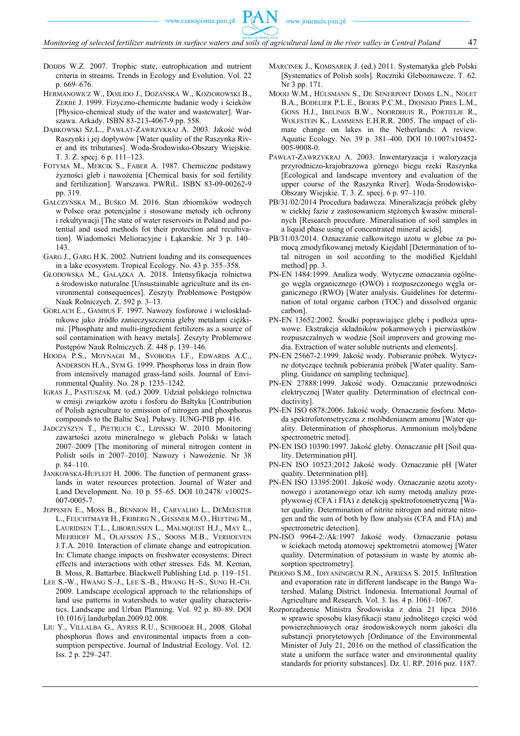www.czasopisma.pan.pl

- DODDS W.Z. 2007. Trophic state, eutrophication and nutrient criteria in streams. Trends in Ecology and Evolution. Vol. 22 p. 669–676.
- HERMANOWICZ W., DOJLIDO J., DOŻAŃSKA W., KOZIOROWSKI B., ZERBE J. 1999. Fizyczno-chemiczne badanie wody i ścieków [Physico-chemical study of the water and wastewater]. Warszawa. Arkady. ISBN 83-213-4067-9 pp. 558.
- DĄBKOWSKI SZ.L., PAWŁAT-ZAWRZYKRAJ A. 2003. Jakość wód Raszynki i jej dopływów [Water quality of the Raszynka River and its tributaries]. Woda-Środowisko-Obszary Wiejskie. T. 3. Z. specj. 6 p. 111–123.
- FOTYMA M., MERCIK S., FABER A. 1987. Chemiczne podstawy żyzności gleb i nawożenia [Chemical basis for soil fertility and fertilization]. Warszawa. PWRiL. ISBN 83-09-00262-9 pp. 319.
- GAŁCZYŃSKA M., BUŚKO M. 2016. Stan zbiorników wodnych w Polsce oraz potencjalne i stosowane metody ich ochrony i rekultywacji [The state of water reservoirs in Poland and potential and used methods fot their protection and recultivation]. Wiadomości Melioracyjne i Łąkarskie. Nr 3 p. 140– 143.
- GARG J., GARG H.K. 2002. Nutrient loading and its consequences in a lake ecosystem. Tropical Ecology. No. 43 p. 355–358.
- GŁODOWSKA M., GAŁĄZKA A. 2018. Intensyfikacja rolnictwa a środowisko naturalne [Unsustainable agriculture and its environmental consequences]. Zeszyty Problemowe Postępów Nauk Rolniczych. Z. 592 p. 3–13.
- GORLACH E., GAMBUŚ F. 1997. Nawozy fosforowe i wieloskładnikowe jako źródło zanieczyszczenia gleby metalami ciężkimi. [Phosphate and multi-ingredient fertilizers as a source of soil contamination with heavy metals]. Zeszyty Problemowe Postępów Nauk Rolniczych. Z. 448 p. 139–146.
- HOODA P.S., MOYNAGH M., SVOBODA I.F., EDWARDS A.C., ANDERSON H.A., SYM G. 1999. Phosphorus loss in drain flow from intensively managed grass-land soils. Journal of Environmental Quality. No. 28 p. 1235–1242.
- IGRAS J., PASTUSZAK M. (ed.) 2009. Udział polskiego rolnictwa w emisji związków azotu i fosforu do Bałtyku [Contribution of Polish agriculture to emission of nitrogen and phosphorus compounds to the Baltic Sea]. Puławy. IUNG-PIB pp. 416.
- JADCZYSZYN T., PIETRUCH C., LIPIŃSKI W. 2010. Monitoring zawartości azotu mineralnego w glebach Polski w latach 2007–2009 [The monitoring of mineral nitrogen content in Polish soils in 2007–2010]. Nawozy i Nawożenie. Nr 38 p. 84–110.
- JANKOWSKA-HUFLEJT H. 2006. The function of permanent grasslands in water resources protection. Journal of Water and Land Development. No. 10 p. 55–65. DOI 10.2478/ v10025- 007-0005-7.
- JEPPESEN E., MOSS B., BENNION H., CARVALHO L., DEMEESTER L., FEUCHTMAYR H., FRIBERG N., GESSNER M.O., HEFTING M., LAURIDSEN T.L., LIBORIUSSEN L., MALMQUIST H.J., MAY L., MEERHOFF M., OLAFSSON J.S., SOONS M.B., VERHOEVEN J.T.A. 2010. Interaction of climate change and eutropication. In: Climate change impacts on freshwater ecosystems: Direct effects and interactions with other stresses. Eds. M. Kernan, B. Moss, R. Battarbee. Blackwell Publishing Ltd. p. 119–151.
- LEE S.-W., HWANG S.-J., LEE S.-B., HWANG H.-S., SUNG H.-CH. 2009. Landscape ecological approach to the relationships of land use patterns in watersheds to water quality characteristics. Landscape and Urban Planning. Vol. 92 p. 80–89. DOI 10.1016/j.landurbplan.2009.02.008.
- LIU Y., VILLALBA G., AYRES R.U., SCHRODER H., 2008. Global phosphorus flows and environmental impacts from a consumption perspective. Journal of Industrial Ecology. Vol. 12. Iss. 2 p. 229–247.
- MARCINEK J., KOMISAREK J. (ed.) 2011. Systematyka gleb Polski [Systematics of Polish soils]. Roczniki Gleboznawcze. T. 62. Nr 3 pp. 171.
- MOOIJ W.M., HÜLSMANN S., DE SENERPONT DOMIS L.N., NOLET B.A., BODELIER P.L.E., BOERS P.C.M., DIONISIO PIRES L.M., GONS H.J., IBELINGS B.W., NOORDHUIS R., PORTIELJE R., WOLFSTEIN K., LAMMENS E.H.R.R. 2005. The impact of climate change on lakes in the Netherlands: A review. Aquatic Ecology. No. 39 p. 381–400. DOI 10.1007/s10452- 005-9008-0.
- PAWŁAT-ZAWRZYKRAJ A. 2003. Inwentaryzacja i waloryzacja przyrodniczo-krajobrazowa górnego biegu rzeki Raszynka [Ecological and landscape inventory and evaluation of the upper course of the Raszynka River]. Woda-Środowisko-Obszary Wiejskie. T. 3. Z. specj. 6 p. 97–110.
- PB/31/02/2014 Procedura badawcza. Mineralizacja próbek gleby w ciekłej fazie z zastosowaniem stężonych kwasów mineralnych [Research procedure. Mineralisation of soil samples in a liquid phase using of concentrated mineral acids].
- PB/31/03/2014. Oznaczanie całkowitego azotu w glebie za pomocą zmodyfikowanej metody Kiejdahl [Determination of total nitrogen in soil according to the modified Kjeldahl method] pp. 3.
- PN-EN 1484:1999. Analiza wody. Wytyczne oznaczania ogólnego węgla organicznego (OWO) i rozpuszczonego węgla organicznego (RWO) [Water analysis. Guidelines for determination of total organic carbon (TOC) and dissolved organic carbon].
- PN-EN 13652:2002. Środki poprawiające glebę i podłoża uprawowe. Ekstrakcja składników pokarmowych i pierwiastków rozpuszczalnych w wodzie [Soil improvers and growing media. Extraction of water soluble nutrients and elements].
- PN-EN 25667-2:1999. Jakość wody. Pobieranie próbek. Wytyczne dotyczące technik pobierania próbek [Water quality. Sampling. Guidance on sampling technique].
- PN-EN 27888:1999. Jakość wody. Oznaczanie przewodności elektrycznej [Water quality. Determination of electrical conductivity].
- PN-EN ISO 6878:2006. Jakość wody. Oznaczanie fosforu. Metoda spektrofotometryczna z molibdenianem amonu [Water quality. Determination of phosphorus. Ammonium molybdene spectrometric metod].
- PN-EN ISO 10390:1997. Jakość gleby. Oznaczanie pH [Soil quality. Determination pH].
- PN-EN ISO 10523:2012 Jakość wody. Oznaczanie pH [Water quality. Determination pH].
- PN-EN ISO 13395:2001. Jakość wody. Oznaczanie azotu azotynowego i azotanowego oraz ich sumy metodą analizy przepływowej (CFA i FIA) z detekcją spektrofotometryczną [Water quality. Determination of nitrite nitrogen and nitrate nitrogen and the sum of both by flow analysis (CFA and FIA) and spectrometric detection].
- PN-ISO 9964-2:/Ak:1997 Jakość wody. Oznaczanie potasu w ściekach metodą atomowej spektrometrii atomowej [Water quality. Determination of potassium in waste by atomic absorption spectrometry].
- PRIJONO S.M., IDIYANINGRUM R.N., AFRIESA S. 2015. Infiltration and evaporation rate in different landscape in the Bango Watershed. Malang District. Indonesia. International Journal of Agriculture and Research. Vol. 3. Iss. 4 p. 1061–1067.
- Rozporządzenie Ministra Środowiska z dnia 21 lipca 2016 w sprawie sposobu klasyfikacji stanu jednolitego części wód powierzchniowych oraz środowiskowych norm jakości dla substancji priorytetowych [Ordinance of the Environmental Minister of July 21, 2016 on the method of classification the state a uniform the surface water and environmental quality standards for priority substances]. Dz. U. RP. 2016 poz. 1187.